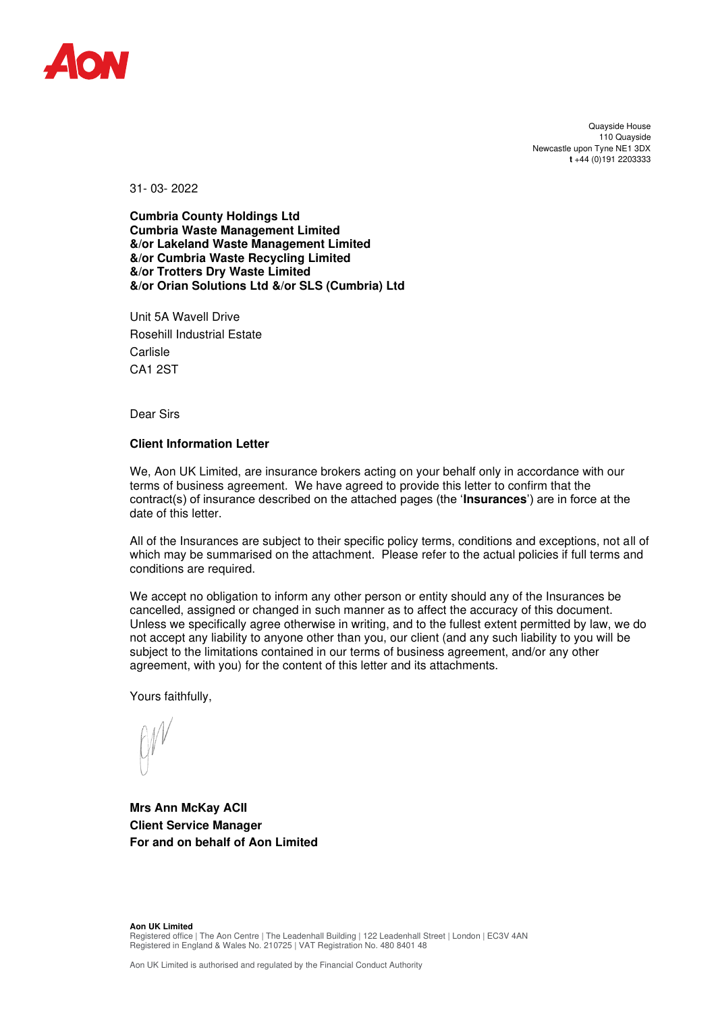

Quayside House 110 Quayside Newcastle upon Tyne NE1 3DX **t** +44 (0)191 2203333

31- 03- 2022

**Cumbria County Holdings Ltd Cumbria Waste Management Limited &/or Lakeland Waste Management Limited &/or Cumbria Waste Recycling Limited &/or Trotters Dry Waste Limited &/or Orian Solutions Ltd &/or SLS (Cumbria) Ltd** 

Unit 5A Wavell Drive Rosehill Industrial Estate Carlisle CA1 2ST

Dear Sirs

## **Client Information Letter**

We, Aon UK Limited, are insurance brokers acting on your behalf only in accordance with our terms of business agreement. We have agreed to provide this letter to confirm that the contract(s) of insurance described on the attached pages (the '**Insurances**') are in force at the date of this letter.

All of the Insurances are subject to their specific policy terms, conditions and exceptions, not all of which may be summarised on the attachment. Please refer to the actual policies if full terms and conditions are required.

We accept no obligation to inform any other person or entity should any of the Insurances be cancelled, assigned or changed in such manner as to affect the accuracy of this document. Unless we specifically agree otherwise in writing, and to the fullest extent permitted by law, we do not accept any liability to anyone other than you, our client (and any such liability to you will be subject to the limitations contained in our terms of business agreement, and/or any other agreement, with you) for the content of this letter and its attachments.

Yours faithfully,

**Mrs Ann McKay ACII Client Service Manager For and on behalf of Aon Limited**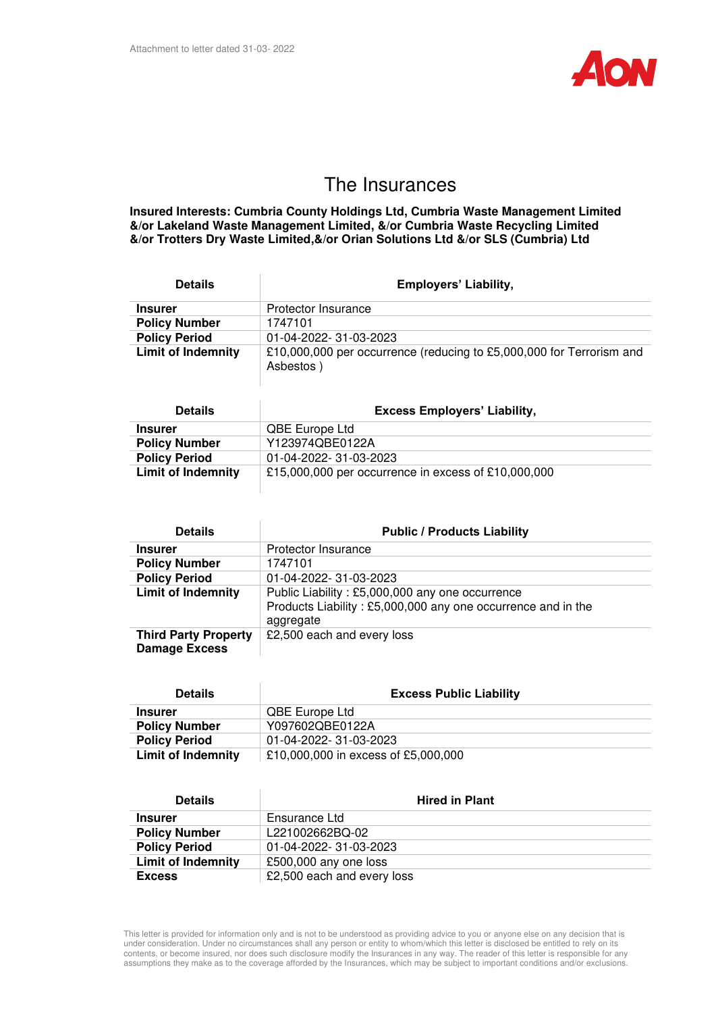

## The Insurances

**Insured Interests: Cumbria County Holdings Ltd, Cumbria Waste Management Limited &/or Lakeland Waste Management Limited, &/or Cumbria Waste Recycling Limited &/or Trotters Dry Waste Limited,&/or Orian Solutions Ltd &/or SLS (Cumbria) Ltd** 

| <b>Details</b>            | <b>Employers' Liability,</b>                                                      |
|---------------------------|-----------------------------------------------------------------------------------|
| <b>Insurer</b>            | Protector Insurance                                                               |
| <b>Policy Number</b>      | 1747101                                                                           |
| <b>Policy Period</b>      | 01-04-2022-31-03-2023                                                             |
| <b>Limit of Indemnity</b> | £10,000,000 per occurrence (reducing to £5,000,000 for Terrorism and<br>Asbestos) |

| <b>Details</b>            | <b>Excess Employers' Liability,</b>                 |
|---------------------------|-----------------------------------------------------|
| <b>Insurer</b>            | <b>QBE Europe Ltd</b>                               |
| <b>Policy Number</b>      | Y123974QBE0122A                                     |
| <b>Policy Period</b>      | 01-04-2022- 31-03-2023                              |
| <b>Limit of Indemnity</b> | £15,000,000 per occurrence in excess of £10,000,000 |

| <b>Details</b>                                      | <b>Public / Products Liability</b>                                                                                           |
|-----------------------------------------------------|------------------------------------------------------------------------------------------------------------------------------|
| <b>Insurer</b>                                      | Protector Insurance                                                                                                          |
| <b>Policy Number</b>                                | 1747101                                                                                                                      |
| <b>Policy Period</b>                                | 01-04-2022-31-03-2023                                                                                                        |
| <b>Limit of Indemnity</b>                           | Public Liability: £5,000,000 any one occurrence<br>Products Liability: £5,000,000 any one occurrence and in the<br>aggregate |
| <b>Third Party Property</b><br><b>Damage Excess</b> | £2,500 each and every loss                                                                                                   |

| <b>Details</b>            | <b>Excess Public Liability</b>      |
|---------------------------|-------------------------------------|
| <b>Insurer</b>            | QBE Europe Ltd                      |
| <b>Policy Number</b>      | Y097602QBE0122A                     |
| <b>Policy Period</b>      | 01-04-2022- 31-03-2023              |
| <b>Limit of Indemnity</b> | £10,000,000 in excess of £5,000,000 |

| <b>Details</b>            | <b>Hired in Plant</b>      |
|---------------------------|----------------------------|
| <b>Insurer</b>            | Ensurance Ltd              |
| <b>Policy Number</b>      | L221002662BQ-02            |
| <b>Policy Period</b>      | 01-04-2022- 31-03-2023     |
| <b>Limit of Indemnity</b> | £500,000 any one loss      |
| <b>Excess</b>             | £2,500 each and every loss |

This letter is provided for information only and is not to be understood as providing advice to you or anyone else on any decision that is under consideration. Under no circumstances shall any person or entity to whom/which this letter is disclosed be entitled to rely on its contents, or become insured, nor does such disclosure modify the Insurances in any way. The reader of this letter is responsible for any assumptions they make as to the coverage afforded by the Insurances, which may be subject to important conditions and/or exclusions.